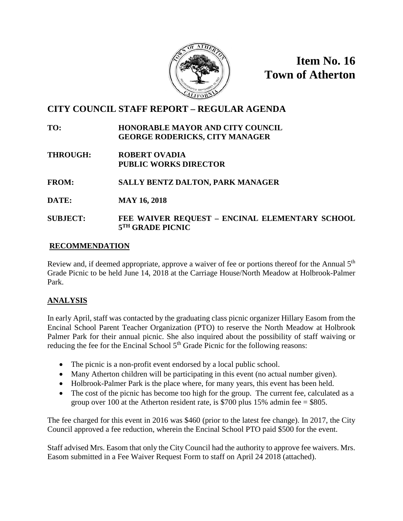

**Item No. 16 Town of Atherton**

# **CITY COUNCIL STAFF REPORT – REGULAR AGENDA**

### **TO: HONORABLE MAYOR AND CITY COUNCIL GEORGE RODERICKS, CITY MANAGER**

- **THROUGH: ROBERT OVADIA PUBLIC WORKS DIRECTOR**
- **FROM: SALLY BENTZ DALTON, PARK MANAGER**
- **DATE: MAY 16, 2018**

### **SUBJECT: FEE WAIVER REQUEST – ENCINAL ELEMENTARY SCHOOL 5TH GRADE PICNIC**

### **RECOMMENDATION**

Review and, if deemed appropriate, approve a waiver of fee or portions thereof for the Annual 5<sup>th</sup> Grade Picnic to be held June 14, 2018 at the Carriage House/North Meadow at Holbrook-Palmer Park.

# **ANALYSIS**

In early April, staff was contacted by the graduating class picnic organizer Hillary Easom from the Encinal School Parent Teacher Organization (PTO) to reserve the North Meadow at Holbrook Palmer Park for their annual picnic. She also inquired about the possibility of staff waiving or reducing the fee for the Encinal School  $5<sup>th</sup>$  Grade Picnic for the following reasons:

- The picnic is a non-profit event endorsed by a local public school.
- Many Atherton children will be participating in this event (no actual number given).
- Holbrook-Palmer Park is the place where, for many years, this event has been held.
- The cost of the picnic has become too high for the group. The current fee, calculated as a group over 100 at the Atherton resident rate, is \$700 plus 15% admin fee  $=$  \$805.

The fee charged for this event in 2016 was \$460 (prior to the latest fee change). In 2017, the City Council approved a fee reduction, wherein the Encinal School PTO paid \$500 for the event.

Staff advised Mrs. Easom that only the City Council had the authority to approve fee waivers. Mrs. Easom submitted in a Fee Waiver Request Form to staff on April 24 2018 (attached).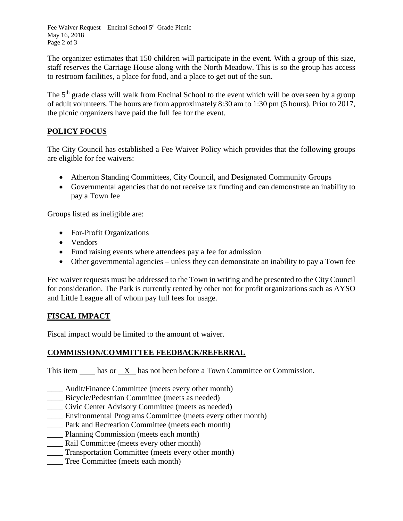Fee Waiver Request – Encinal School 5<sup>th</sup> Grade Picnic May 16, 2018 Page 2 of 3

The organizer estimates that 150 children will participate in the event. With a group of this size, staff reserves the Carriage House along with the North Meadow. This is so the group has access to restroom facilities, a place for food, and a place to get out of the sun.

The 5<sup>th</sup> grade class will walk from Encinal School to the event which will be overseen by a group of adult volunteers. The hours are from approximately 8:30 am to 1:30 pm (5 hours). Prior to 2017, the picnic organizers have paid the full fee for the event.

# **POLICY FOCUS**

The City Council has established a Fee Waiver Policy which provides that the following groups are eligible for fee waivers:

- Atherton Standing Committees, City Council, and Designated Community Groups
- Governmental agencies that do not receive tax funding and can demonstrate an inability to pay a Town fee

Groups listed as ineligible are:

- For-Profit Organizations
- Vendors
- Fund raising events where attendees pay a fee for admission
- Other governmental agencies unless they can demonstrate an inability to pay a Town fee

Fee waiver requests must be addressed to the Town in writing and be presented to the City Council for consideration. The Park is currently rented by other not for profit organizations such as AYSO and Little League all of whom pay full fees for usage.

# **FISCAL IMPACT**

Fiscal impact would be limited to the amount of waiver.

# **COMMISSION/COMMITTEE FEEDBACK/REFERRAL**

This item has or X has not been before a Town Committee or Commission.

- \_\_\_\_ Audit/Finance Committee (meets every other month)
- \_\_\_\_ Bicycle/Pedestrian Committee (meets as needed)
- \_\_\_\_ Civic Center Advisory Committee (meets as needed)
- \_\_\_\_ Environmental Programs Committee (meets every other month)
- \_\_\_\_ Park and Recreation Committee (meets each month)
- \_\_\_\_ Planning Commission (meets each month)
- \_\_\_\_ Rail Committee (meets every other month)
- Transportation Committee (meets every other month)
- Tree Committee (meets each month)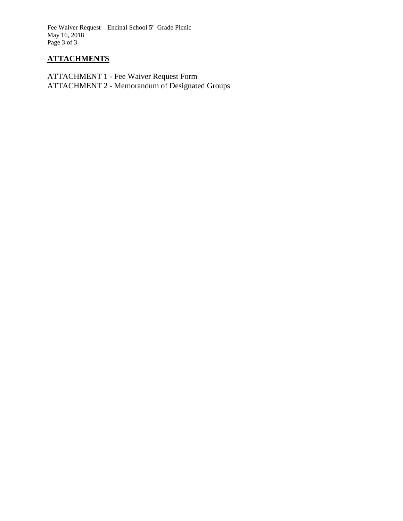Fee Waiver Request – Encinal School 5<sup>th</sup> Grade Picnic May 16, 2018 Page 3 of 3

### **ATTACHMENTS**

ATTACHMENT 1 - Fee Waiver Request Form ATTACHMENT 2 - Memorandum of Designated Groups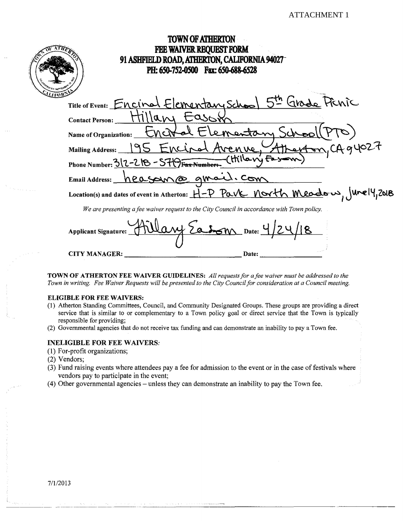| <b>TOWN OF ATHERTON</b>                                                                    |  |
|--------------------------------------------------------------------------------------------|--|
| <b>FEE WAIVER REQUEST FORM</b>                                                             |  |
| 91 ASHFIELD ROAD, ATHERTON, CALIFORNIA 94027                                               |  |
| PH: 650-752-0500 Fax: 650-688-6528                                                         |  |
|                                                                                            |  |
| Title of Event: Encinel Elementary School 5th Grade Frinc                                  |  |
| asox<br><b>Contact Person:</b>                                                             |  |
| Elementan<br>Name of Organization:                                                         |  |
| CAq4027<br>(Avenue, S<br>Mailing Address:                                                  |  |
| (Hillany Fastom<br>Phone Number: $3/2 - 2/8 - 57/9$ Fax Numbers                            |  |
| Email Address: <u>heasonna</u> quail. Com                                                  |  |
| Location(s) and dates of event in Atherton: H-P Pave north meadow, Junely, 2018            |  |
| We are presenting a fee waiver request to the City Council in accordance with Town policy. |  |
| a bom Date:<br><b>Applicant Signature:</b>                                                 |  |
|                                                                                            |  |

TOWN OF ATHERTON FEE WAIVER GUIDELINES: All requests for a fee waiver must be addressed to the Town in writing. Fee Waiver Requests will be presented to the City Council for consideration at a Council meeting.

Date:

#### **ELIGIBLE FOR FEE WAIVERS:**

CITY MANAGER:

- (1) Atherton Standing Committees, Council, and Community Designated Groups. These groups are providing a direct service that is similar to or complementary to a Town policy goal or direct service that the Town is typically responsible for providing;
- (2) Governmental agencies that do not receive tax funding and can demonstrate an inability to pay a Town fee.

#### **INELIGIBLE FOR FEE WAIVERS:**

(1) For-profit organizations;

- (2) Vendors;
- (3) Fund raising events where attendees pay a fee for admission to the event or in the case of festivals where vendors pay to participate in the event;
- (4) Other governmental agencies unless they can demonstrate an inability to pay the Town fee.